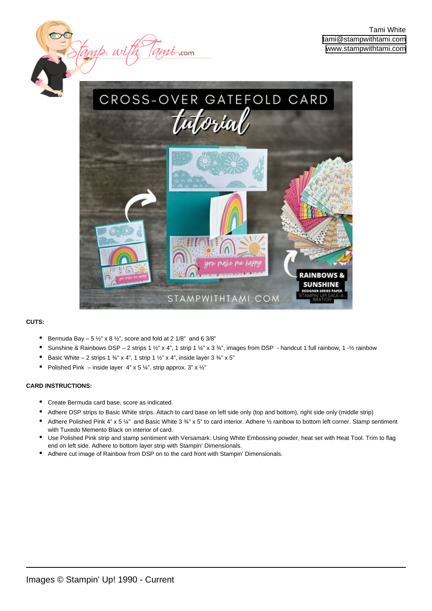

*<u>mitron</u>* 

## **CUTS:**

- Bermuda Bay  $-5\frac{1}{2}$ " x 8  $\frac{1}{2}$ ", score and fold at 2 1/8" and 6 3/8"
- Sunshine & Rainbows DSP 2 strips 1  $\frac{1}{2}$ " x 4", 1 strip 1  $\frac{1}{4}$ " x 3  $\frac{3}{4}$ ", images from DSP handcut 1 full rainbow, 1 - $\frac{1}{2}$  rainbow
- Basic White 2 strips 1  $\frac{3}{4}$ " x 4", 1 strip 1  $\frac{1}{2}$ " x 4", inside layer 3  $\frac{3}{4}$ " x 5"
- Polished Pink inside layer  $4$ " x 5  $\frac{1}{4}$ ", strip approx. 3" x  $\frac{1}{2}$ "

## **CARD INSTRUCTIONS:**

• Create Bermuda card base, score as indicated.

 $\frac{2}{3}$  w

- Adhere DSP strips to Basic White strips. Attach to card base on left side only (top and bottom), right side only (middle strip)
- Adhere Polished Pink 4" x 5 ¼" and Basic White 3 ¾" x 5" to card interior. Adhere ½ rainbow to bottom left corner. Stamp sentiment with Tuxedo Memento Black on interior of card.
- Use Polished Pink strip and stamp sentiment with Versamark. Using White Embossing powder, heat set with Heat Tool. Trim to flag end on left side. Adhere to bottom layer strip with Stampin' Dimensionals. •
- Adhere cut image of Rainbow from DSP on to the card front with Stampin' Dimensionals.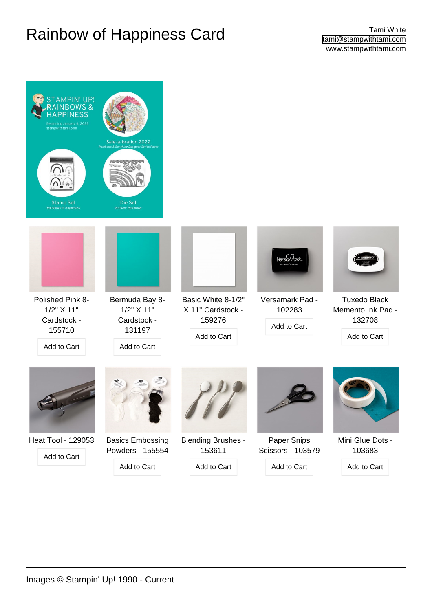## Rainbow of Happiness Card **Tami White**

| <b>STAMPIN' UP!</b><br><b>NBOWS&amp;</b><br>Beginning January 4, 2022<br>stampwithtami.com | Sale-a-bration 2022<br>Rainbows & Sunshine Designer Series Paper     |                                                                  |                                          |                                                                   |
|--------------------------------------------------------------------------------------------|----------------------------------------------------------------------|------------------------------------------------------------------|------------------------------------------|-------------------------------------------------------------------|
| <b>Stamp Set</b><br><b>Rainbows of Happiness</b>                                           | Die Set<br><b>Brilliant Rainbows</b>                                 |                                                                  | <b>VersaMark</b>                         |                                                                   |
| Polished Pink 8-<br>1/2" X 11"<br>Cardstock -<br>155710<br>Add to Cart                     | Bermuda Bay 8-<br>1/2" X 11"<br>Cardstock -<br>131197<br>Add to Cart | Basic White 8-1/2"<br>X 11" Cardstock -<br>159276<br>Add to Cart | Versamark Pad -<br>102283<br>Add to Cart | <b>Tuxedo Black</b><br>Memento Ink Pad -<br>132708<br>Add to Cart |
|                                                                                            |                                                                      |                                                                  |                                          |                                                                   |
| Heat Tool - 129053<br>Add to Cart                                                          | <b>Basics Embossing</b><br>Powders - 155554                          | <b>Blending Brushes -</b><br>153611                              | Paper Snips<br>Scissors - 103579         | Mini Glue Dots -<br>103683                                        |
|                                                                                            | Add to Cart                                                          | Add to Cart                                                      | Add to Cart                              | Add to Cart                                                       |